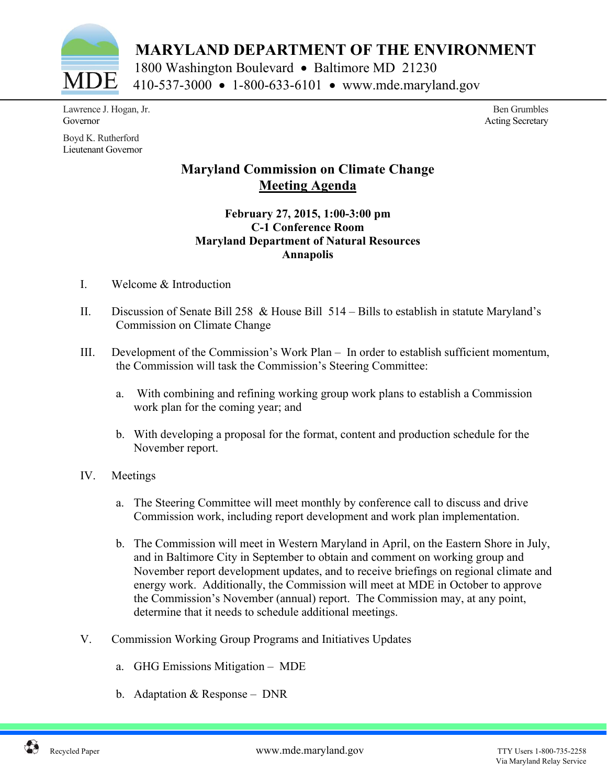

 **MARYLAND DEPARTMENT OF THE ENVIRONMENT** 

1800 Washington Boulevard • Baltimore MD 21230 410-537-3000 • 1-800-633-6101 • www.mde.maryland.gov

Lawrence J. Hogan, Jr. Governor

Boyd K. Rutherford Lieutenant Governor

Ben Grumbles Acting Secretary

## **Maryland Commission on Climate Change Meeting Agenda**

## **February 27, 2015, 1:00-3:00 pm C-1 Conference Room Maryland Department of Natural Resources Annapolis**

- I. Welcome & Introduction
- II. Discussion of Senate Bill 258 & House Bill 514 Bills to establish in statute Maryland's Commission on Climate Change
- III. Development of the Commission's Work Plan In order to establish sufficient momentum, the Commission will task the Commission's Steering Committee:
	- a. With combining and refining working group work plans to establish a Commission work plan for the coming year; and
	- b. With developing a proposal for the format, content and production schedule for the November report.
- IV. Meetings
	- a. The Steering Committee will meet monthly by conference call to discuss and drive Commission work, including report development and work plan implementation.
	- b. The Commission will meet in Western Maryland in April, on the Eastern Shore in July, and in Baltimore City in September to obtain and comment on working group and November report development updates, and to receive briefings on regional climate and energy work. Additionally, the Commission will meet at MDE in October to approve the Commission's November (annual) report. The Commission may, at any point, determine that it needs to schedule additional meetings.
- V. Commission Working Group Programs and Initiatives Updates
	- a. GHG Emissions Mitigation MDE
	- b. Adaptation & Response DNR